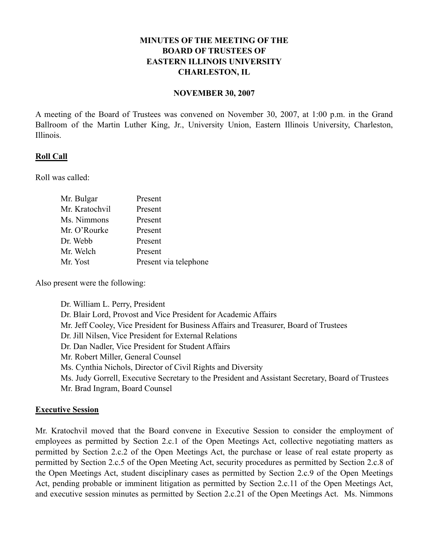# **MINUTES OF THE MEETING OF THE BOARD OF TRUSTEES OF EASTERN ILLINOIS UNIVERSITY CHARLESTON, IL**

#### **NOVEMBER 30, 2007**

A meeting of the Board of Trustees was convened on November 30, 2007, at 1:00 p.m. in the Grand Ballroom of the Martin Luther King, Jr., University Union, Eastern Illinois University, Charleston, Illinois.

#### **Roll Call**

Roll was called:

| Mr. Bulgar     | Present               |
|----------------|-----------------------|
| Mr. Kratochvil | Present               |
| Ms. Nimmons    | Present               |
| Mr. O'Rourke   | Present               |
| Dr. Webb       | Present               |
| Mr. Welch      | Present               |
| Mr. Yost       | Present via telephone |

Also present were the following:

Dr. William L. Perry, President Dr. Blair Lord, Provost and Vice President for Academic Affairs Mr. Jeff Cooley, Vice President for Business Affairs and Treasurer, Board of Trustees Dr. Jill Nilsen, Vice President for External Relations Dr. Dan Nadler, Vice President for Student Affairs Mr. Robert Miller, General Counsel Ms. Cynthia Nichols, Director of Civil Rights and Diversity Ms. Judy Gorrell, Executive Secretary to the President and Assistant Secretary, Board of Trustees Mr. Brad Ingram, Board Counsel

#### **Executive Session**

Mr. Kratochvil moved that the Board convene in Executive Session to consider the employment of employees as permitted by Section 2.c.1 of the Open Meetings Act, collective negotiating matters as permitted by Section 2.c.2 of the Open Meetings Act, the purchase or lease of real estate property as permitted by Section 2.c.5 of the Open Meeting Act, security procedures as permitted by Section 2.c.8 of the Open Meetings Act, student disciplinary cases as permitted by Section 2.c.9 of the Open Meetings Act, pending probable or imminent litigation as permitted by Section 2.c.11 of the Open Meetings Act, and executive session minutes as permitted by Section 2.c.21 of the Open Meetings Act. Ms. Nimmons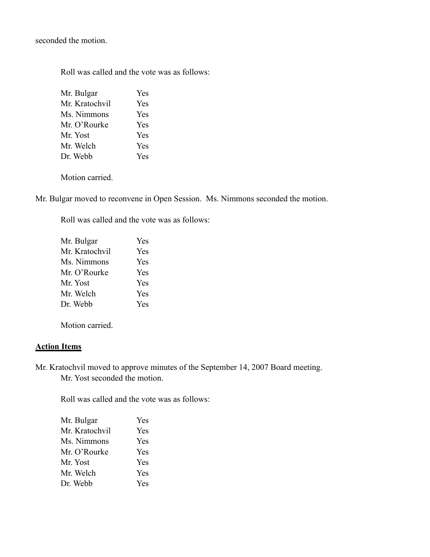seconded the motion.

Roll was called and the vote was as follows:

| Mr. Bulgar     | Yes |
|----------------|-----|
| Mr. Kratochvil | Yes |
| Ms. Nimmons    | Yes |
| Mr. O'Rourke   | Yes |
| Mr. Yost       | Yes |
| Mr. Welch      | Yes |
| Dr. Webb       | Yes |

Motion carried.

Mr. Bulgar moved to reconvene in Open Session. Ms. Nimmons seconded the motion.

Roll was called and the vote was as follows:

| Mr. Bulgar     | Yes |
|----------------|-----|
| Mr. Kratochvil | Yes |
| Ms. Nimmons    | Yes |
| Mr. O'Rourke   | Yes |
| Mr. Yost       | Yes |
| Mr. Welch      | Yes |
| Dr. Webb       | Yes |
|                |     |

Motion carried.

#### **Action Items**

Mr. Kratochvil moved to approve minutes of the September 14, 2007 Board meeting. Mr. Yost seconded the motion.

Roll was called and the vote was as follows:

| Mr. Bulgar     | Yes |
|----------------|-----|
| Mr. Kratochvil | Yes |
| Ms. Nimmons    | Yes |
| Mr. O'Rourke   | Yes |
| Mr. Yost       | Yes |
| Mr. Welch      | Yes |
| Dr. Webb       | Yes |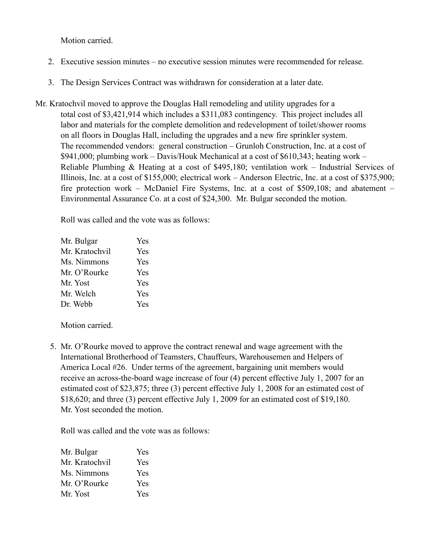Motion carried.

- 2. Executive session minutes no executive session minutes were recommended for release.
- 3. The Design Services Contract was withdrawn for consideration at a later date.
- Mr. Kratochvil moved to approve the Douglas Hall remodeling and utility upgrades for a total cost of \$3,421,914 which includes a \$311,083 contingency. This project includes all labor and materials for the complete demolition and redevelopment of toilet/shower rooms on all floors in Douglas Hall, including the upgrades and a new fire sprinkler system. The recommended vendors: general construction – Grunloh Construction, Inc. at a cost of \$941,000; plumbing work – Davis/Houk Mechanical at a cost of \$610,343; heating work – Reliable Plumbing & Heating at a cost of \$495,180; ventilation work – Industrial Services of Illinois, Inc. at a cost of \$155,000; electrical work – Anderson Electric, Inc. at a cost of \$375,900; fire protection work – McDaniel Fire Systems, Inc. at a cost of \$509,108; and abatement – Environmental Assurance Co. at a cost of \$24,300. Mr. Bulgar seconded the motion.

Roll was called and the vote was as follows:

| Mr. Bulgar     | Yes |
|----------------|-----|
| Mr. Kratochvil | Yes |
| Ms. Nimmons    | Yes |
| Mr. O'Rourke   | Yes |
| Mr. Yost       | Yes |
| Mr. Welch      | Yes |
| Dr. Webb       | Yes |

Motion carried.

 5. Mr. O'Rourke moved to approve the contract renewal and wage agreement with the International Brotherhood of Teamsters, Chauffeurs, Warehousemen and Helpers of America Local #26. Under terms of the agreement, bargaining unit members would receive an across-the-board wage increase of four (4) percent effective July 1, 2007 for an estimated cost of \$23,875; three (3) percent effective July 1, 2008 for an estimated cost of \$18,620; and three (3) percent effective July 1, 2009 for an estimated cost of \$19,180. Mr. Yost seconded the motion.

Roll was called and the vote was as follows:

| Mr. Bulgar     | Yes        |
|----------------|------------|
| Mr. Kratochvil | <b>Yes</b> |
| Ms. Nimmons    | Yes        |
| Mr. O'Rourke   | Yes        |
| Mr. Yost       | Yes        |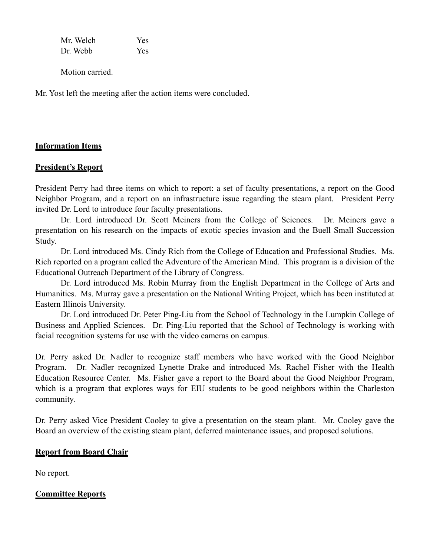| Mr. Welch | <b>Yes</b> |
|-----------|------------|
| Dr. Webb  | <b>Yes</b> |

Motion carried.

Mr. Yost left the meeting after the action items were concluded.

## **Information Items**

## **President's Report**

President Perry had three items on which to report: a set of faculty presentations, a report on the Good Neighbor Program, and a report on an infrastructure issue regarding the steam plant. President Perry invited Dr. Lord to introduce four faculty presentations.

Dr. Lord introduced Dr. Scott Meiners from the College of Sciences. Dr. Meiners gave a presentation on his research on the impacts of exotic species invasion and the Buell Small Succession Study.

Dr. Lord introduced Ms. Cindy Rich from the College of Education and Professional Studies. Ms. Rich reported on a program called the Adventure of the American Mind. This program is a division of the Educational Outreach Department of the Library of Congress.

Dr. Lord introduced Ms. Robin Murray from the English Department in the College of Arts and Humanities. Ms. Murray gave a presentation on the National Writing Project, which has been instituted at Eastern Illinois University.

Dr. Lord introduced Dr. Peter Ping-Liu from the School of Technology in the Lumpkin College of Business and Applied Sciences. Dr. Ping-Liu reported that the School of Technology is working with facial recognition systems for use with the video cameras on campus.

Dr. Perry asked Dr. Nadler to recognize staff members who have worked with the Good Neighbor Program. Dr. Nadler recognized Lynette Drake and introduced Ms. Rachel Fisher with the Health Education Resource Center. Ms. Fisher gave a report to the Board about the Good Neighbor Program, which is a program that explores ways for EIU students to be good neighbors within the Charleston community.

Dr. Perry asked Vice President Cooley to give a presentation on the steam plant. Mr. Cooley gave the Board an overview of the existing steam plant, deferred maintenance issues, and proposed solutions.

## **Report from Board Chair**

No report.

## **Committee Reports**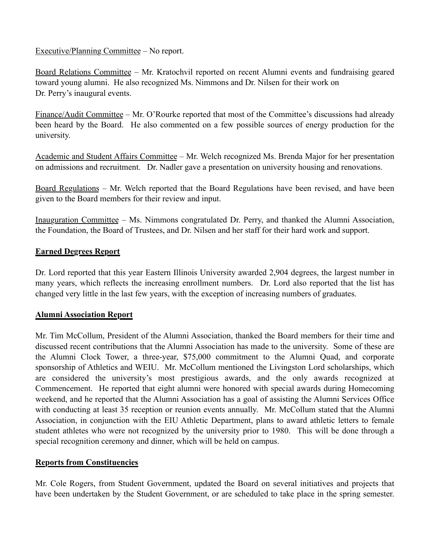## Executive/Planning Committee – No report.

Board Relations Committee – Mr. Kratochvil reported on recent Alumni events and fundraising geared toward young alumni. He also recognized Ms. Nimmons and Dr. Nilsen for their work on Dr. Perry's inaugural events.

Finance/Audit Committee – Mr. O'Rourke reported that most of the Committee's discussions had already been heard by the Board. He also commented on a few possible sources of energy production for the university.

Academic and Student Affairs Committee – Mr. Welch recognized Ms. Brenda Major for her presentation on admissions and recruitment. Dr. Nadler gave a presentation on university housing and renovations.

Board Regulations – Mr. Welch reported that the Board Regulations have been revised, and have been given to the Board members for their review and input.

Inauguration Committee – Ms. Nimmons congratulated Dr. Perry, and thanked the Alumni Association, the Foundation, the Board of Trustees, and Dr. Nilsen and her staff for their hard work and support.

# **Earned Degrees Report**

Dr. Lord reported that this year Eastern Illinois University awarded 2,904 degrees, the largest number in many years, which reflects the increasing enrollment numbers. Dr. Lord also reported that the list has changed very little in the last few years, with the exception of increasing numbers of graduates.

## **Alumni Association Report**

Mr. Tim McCollum, President of the Alumni Association, thanked the Board members for their time and discussed recent contributions that the Alumni Association has made to the university. Some of these are the Alumni Clock Tower, a three-year, \$75,000 commitment to the Alumni Quad, and corporate sponsorship of Athletics and WEIU. Mr. McCollum mentioned the Livingston Lord scholarships, which are considered the university's most prestigious awards, and the only awards recognized at Commencement. He reported that eight alumni were honored with special awards during Homecoming weekend, and he reported that the Alumni Association has a goal of assisting the Alumni Services Office with conducting at least 35 reception or reunion events annually. Mr. McCollum stated that the Alumni Association, in conjunction with the EIU Athletic Department, plans to award athletic letters to female student athletes who were not recognized by the university prior to 1980. This will be done through a special recognition ceremony and dinner, which will be held on campus.

## **Reports from Constituencies**

Mr. Cole Rogers, from Student Government, updated the Board on several initiatives and projects that have been undertaken by the Student Government, or are scheduled to take place in the spring semester.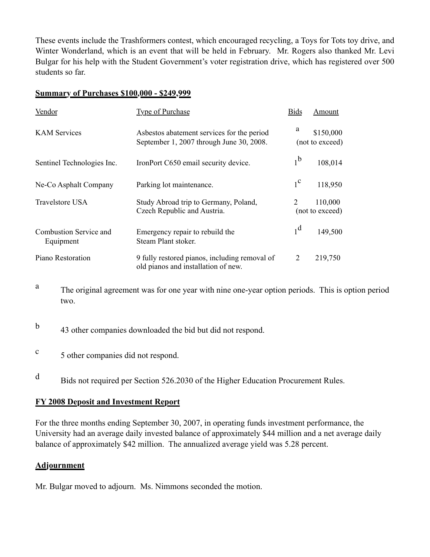These events include the Trashformers contest, which encouraged recycling, a Toys for Tots toy drive, and Winter Wonderland, which is an event that will be held in February. Mr. Rogers also thanked Mr. Levi Bulgar for his help with the Student Government's voter registration drive, which has registered over 500 students so far.

#### **Summary of Purchases \$100,000 - \$249,999**

| Vendor                              | <b>Type of Purchase</b>                                                                | <b>Bids</b>    | Amount                       |
|-------------------------------------|----------------------------------------------------------------------------------------|----------------|------------------------------|
| <b>KAM</b> Services                 | Asbestos abatement services for the period<br>September 1, 2007 through June 30, 2008. | a              | \$150,000<br>(not to exceed) |
| Sentinel Technologies Inc.          | IronPort C650 email security device.                                                   | 1 <sup>b</sup> | 108,014                      |
| Ne-Co Asphalt Company               | Parking lot maintenance.                                                               | $1^{\rm c}$    | 118,950                      |
| Travelstore USA                     | Study Abroad trip to Germany, Poland,<br>Czech Republic and Austria.                   | 2              | 110,000<br>(not to exceed)   |
| Combustion Service and<br>Equipment | Emergency repair to rebuild the<br>Steam Plant stoker.                                 | 1 <sup>d</sup> | 149,500                      |
| Piano Restoration                   | 9 fully restored pianos, including removal of<br>old pianos and installation of new.   | 2              | 219,750                      |

- <sup>a</sup> The original agreement was for one year with nine one-year option periods. This is option period two.
- <sup>b</sup> 43 other companies downloaded the bid but did not respond.
- <sup>c</sup> 5 other companies did not respond.
- <sup>d</sup> Bids not required per Section 526.2030 of the Higher Education Procurement Rules.

## **FY 2008 Deposit and Investment Report**

For the three months ending September 30, 2007, in operating funds investment performance, the University had an average daily invested balance of approximately \$44 million and a net average daily balance of approximately \$42 million. The annualized average yield was 5.28 percent.

## **Adjournment**

Mr. Bulgar moved to adjourn. Ms. Nimmons seconded the motion.